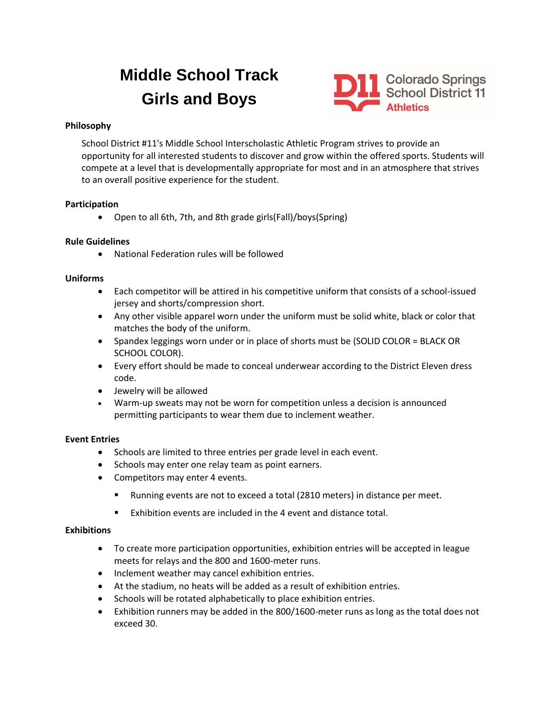# **Middle School Track Girls and Boys**



# **Philosophy**

School District #11's Middle School Interscholastic Athletic Program strives to provide an opportunity for all interested students to discover and grow within the offered sports. Students will compete at a level that is developmentally appropriate for most and in an atmosphere that strives to an overall positive experience for the student.

# **Participation**

• Open to all 6th, 7th, and 8th grade girls(Fall)/boys(Spring)

# **Rule Guidelines**

• National Federation rules will be followed

# **Uniforms**

- Each competitor will be attired in his competitive uniform that consists of a school-issued jersey and shorts/compression short.
- Any other visible apparel worn under the uniform must be solid white, black or color that matches the body of the uniform.
- Spandex leggings worn under or in place of shorts must be (SOLID COLOR = BLACK OR SCHOOL COLOR).
- Every effort should be made to conceal underwear according to the District Eleven dress code.
- Jewelry will be allowed
- Warm-up sweats may not be worn for competition unless a decision is announced permitting participants to wear them due to inclement weather.

# **Event Entries**

- Schools are limited to three entries per grade level in each event.
- Schools may enter one relay team as point earners.
- Competitors may enter 4 events.
	- Running events are not to exceed a total (2810 meters) in distance per meet.
	- Exhibition events are included in the 4 event and distance total.

# **Exhibitions**

- To create more participation opportunities, exhibition entries will be accepted in league meets for relays and the 800 and 1600-meter runs.
- Inclement weather may cancel exhibition entries.
- At the stadium, no heats will be added as a result of exhibition entries.
- Schools will be rotated alphabetically to place exhibition entries.
- Exhibition runners may be added in the 800/1600-meter runs as long as the total does not exceed 30.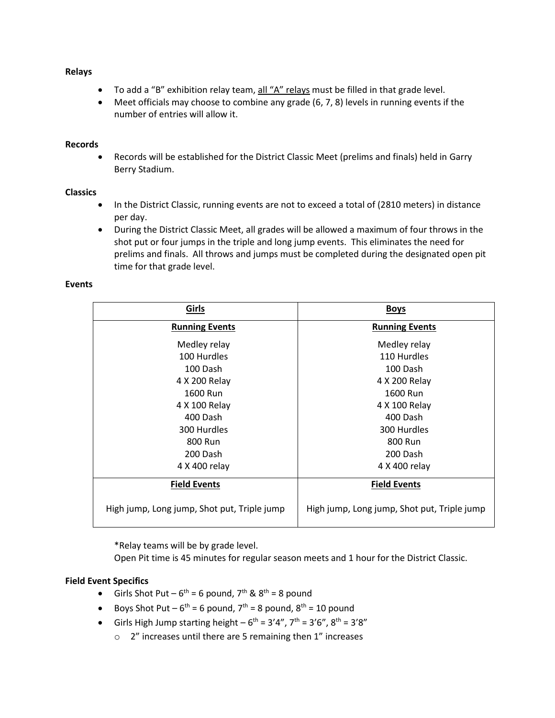#### **Relays**

- To add a "B" exhibition relay team, all "A" relays must be filled in that grade level.
- Meet officials may choose to combine any grade (6, 7, 8) levels in running events if the number of entries will allow it.

#### **Records**

• Records will be established for the District Classic Meet (prelims and finals) held in Garry Berry Stadium.

# **Classics**

- In the District Classic, running events are not to exceed a total of (2810 meters) in distance per day.
- During the District Classic Meet, all grades will be allowed a maximum of four throws in the shot put or four jumps in the triple and long jump events. This eliminates the need for prelims and finals. All throws and jumps must be completed during the designated open pit time for that grade level.

# **Events**

| Girls                                       | <b>Boys</b>                                 |
|---------------------------------------------|---------------------------------------------|
| <b>Running Events</b>                       | <b>Running Events</b>                       |
| Medley relay                                | Medley relay                                |
| 100 Hurdles                                 | 110 Hurdles                                 |
| 100 Dash                                    | 100 Dash                                    |
| 4 X 200 Relay                               | 4 X 200 Relay                               |
| 1600 Run                                    | 1600 Run                                    |
| 4 X 100 Relay                               | 4 X 100 Relay                               |
| 400 Dash                                    | 400 Dash                                    |
| 300 Hurdles                                 | 300 Hurdles                                 |
| 800 Run                                     | 800 Run                                     |
| 200 Dash                                    | 200 Dash                                    |
| 4 X 400 relay                               | 4 X 400 relay                               |
| <b>Field Events</b>                         | <b>Field Events</b>                         |
| High jump, Long jump, Shot put, Triple jump | High jump, Long jump, Shot put, Triple jump |

\*Relay teams will be by grade level.

Open Pit time is 45 minutes for regular season meets and 1 hour for the District Classic.

# **Field Event Specifics**

- Girls Shot Put  $6^{\text{th}}$  = 6 pound, 7<sup>th</sup> & 8<sup>th</sup> = 8 pound
- Boys Shot Put  $6^{th}$  = 6 pound,  $7^{th}$  = 8 pound,  $8^{th}$  = 10 pound
- Girls High Jump starting height  $-6^{\text{th}} = 3'4''$ ,  $7^{\text{th}} = 3'6''$ ,  $8^{\text{th}} = 3'8''$ 
	- o 2" increases until there are 5 remaining then 1" increases